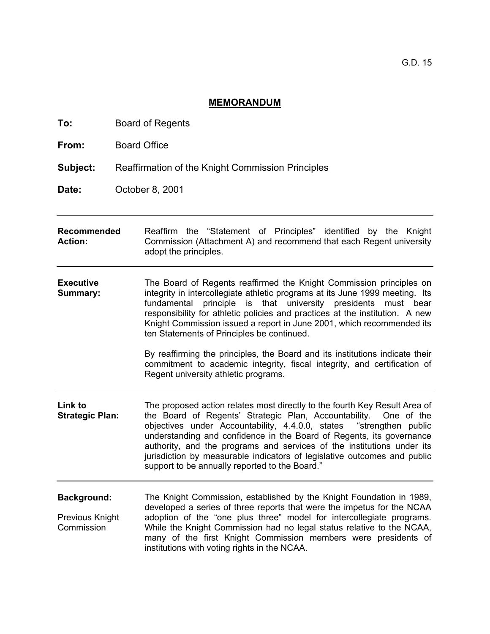| To:                                                 | <b>Board of Regents</b>                                                                                                                                                                                                                                                                                                                                                                                                                                                                                     |
|-----------------------------------------------------|-------------------------------------------------------------------------------------------------------------------------------------------------------------------------------------------------------------------------------------------------------------------------------------------------------------------------------------------------------------------------------------------------------------------------------------------------------------------------------------------------------------|
| From:                                               | <b>Board Office</b>                                                                                                                                                                                                                                                                                                                                                                                                                                                                                         |
| Subject:                                            | Reaffirmation of the Knight Commission Principles                                                                                                                                                                                                                                                                                                                                                                                                                                                           |
| Date:                                               | October 8, 2001                                                                                                                                                                                                                                                                                                                                                                                                                                                                                             |
| <b>Recommended</b><br><b>Action:</b>                | Reaffirm the "Statement of Principles" identified by the Knight<br>Commission (Attachment A) and recommend that each Regent university<br>adopt the principles.                                                                                                                                                                                                                                                                                                                                             |
| <b>Executive</b><br>Summary:                        | The Board of Regents reaffirmed the Knight Commission principles on<br>integrity in intercollegiate athletic programs at its June 1999 meeting. Its<br>fundamental principle is that university presidents must<br>bear<br>responsibility for athletic policies and practices at the institution. A new<br>Knight Commission issued a report in June 2001, which recommended its<br>ten Statements of Principles be continued.                                                                              |
|                                                     | By reaffirming the principles, the Board and its institutions indicate their<br>commitment to academic integrity, fiscal integrity, and certification of<br>Regent university athletic programs.                                                                                                                                                                                                                                                                                                            |
| Link to<br><b>Strategic Plan:</b>                   | The proposed action relates most directly to the fourth Key Result Area of<br>the Board of Regents' Strategic Plan, Accountability.<br>One of the<br>objectives under Accountability, 4.4.0.0, states<br>"strengthen public<br>understanding and confidence in the Board of Regents, its governance<br>authority, and the programs and services of the institutions under its<br>jurisdiction by measurable indicators of legislative outcomes and public<br>support to be annually reported to the Board." |
| <b>Background:</b><br>Previous Knight<br>Commission | The Knight Commission, established by the Knight Foundation in 1989,<br>developed a series of three reports that were the impetus for the NCAA<br>adoption of the "one plus three" model for intercollegiate programs.<br>While the Knight Commission had no legal status relative to the NCAA,<br>many of the first Knight Commission members were presidents of<br>institutions with voting rights in the NCAA.                                                                                           |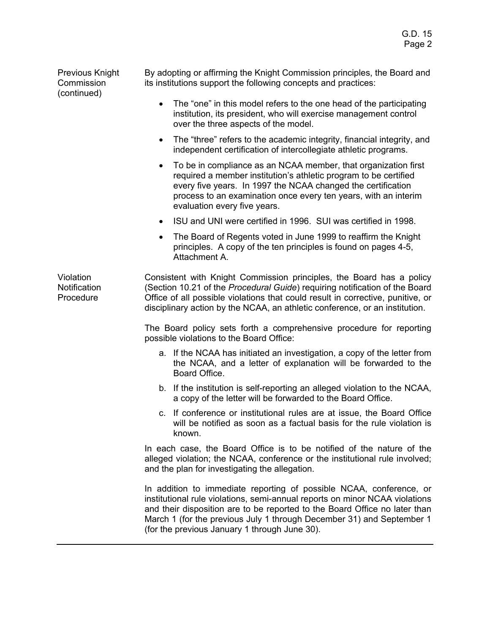Previous Knight Commission (continued)

By adopting or affirming the Knight Commission principles, the Board and its institutions support the following concepts and practices:

- The "one" in this model refers to the one head of the participating institution, its president, who will exercise management control over the three aspects of the model.
- The "three" refers to the academic integrity, financial integrity, and independent certification of intercollegiate athletic programs.
- To be in compliance as an NCAA member, that organization first required a member institution's athletic program to be certified every five years. In 1997 the NCAA changed the certification process to an examination once every ten years, with an interim evaluation every five years.
- ISU and UNI were certified in 1996. SUI was certified in 1998.
- The Board of Regents voted in June 1999 to reaffirm the Knight principles. A copy of the ten principles is found on pages 4-5, Attachment A.

Violation **Notification** Procedure Consistent with Knight Commission principles, the Board has a policy (Section 10.21 of the *Procedural Guide*) requiring notification of the Board Office of all possible violations that could result in corrective, punitive, or disciplinary action by the NCAA, an athletic conference, or an institution.

> The Board policy sets forth a comprehensive procedure for reporting possible violations to the Board Office:

- a. If the NCAA has initiated an investigation, a copy of the letter from the NCAA, and a letter of explanation will be forwarded to the Board Office.
- b. If the institution is self-reporting an alleged violation to the NCAA, a copy of the letter will be forwarded to the Board Office.
- c. If conference or institutional rules are at issue, the Board Office will be notified as soon as a factual basis for the rule violation is known.

In each case, the Board Office is to be notified of the nature of the alleged violation; the NCAA, conference or the institutional rule involved; and the plan for investigating the allegation.

In addition to immediate reporting of possible NCAA, conference, or institutional rule violations, semi-annual reports on minor NCAA violations and their disposition are to be reported to the Board Office no later than March 1 (for the previous July 1 through December 31) and September 1 (for the previous January 1 through June 30).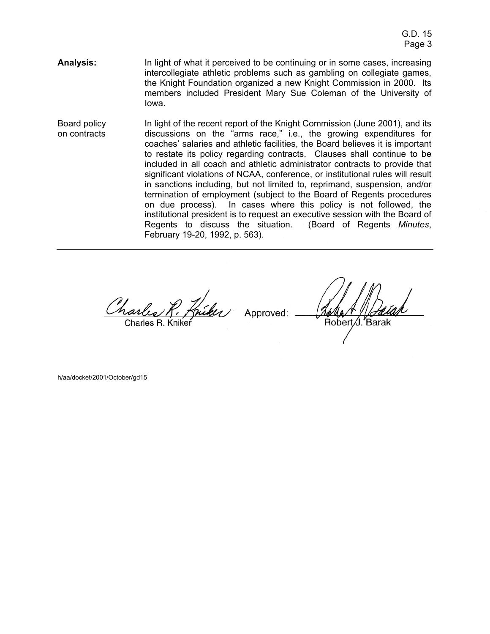- **Analysis:**  In light of what it perceived to be continuing or in some cases, increasing intercollegiate athletic problems such as gambling on collegiate games, the Knight Foundation organized a new Knight Commission in 2000. Its members included President Mary Sue Coleman of the University of Iowa.
- Board policy on contracts In light of the recent report of the Knight Commission (June 2001), and its discussions on the "arms race," i.e., the growing expenditures for coaches' salaries and athletic facilities, the Board believes it is important to restate its policy regarding contracts. Clauses shall continue to be included in all coach and athletic administrator contracts to provide that significant violations of NCAA, conference, or institutional rules will result in sanctions including, but not limited to, reprimand, suspension, and/or termination of employment (subject to the Board of Regents procedures on due process). In cases where this policy is not followed, the institutional president is to request an executive session with the Board of Regents to discuss the situation. (Board of Regents *Minutes*, February 19-20, 1992, p. 563).

Approved:

Robert/J. Barak

h/aa/docket/2001/October/gd15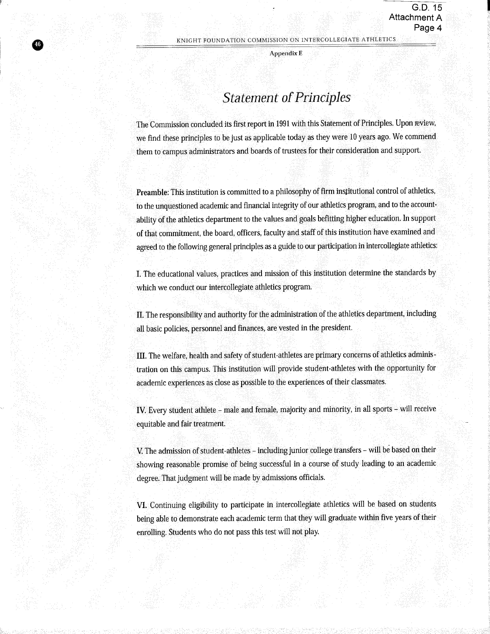KNIGHT FOUNDATION COMMISSION ON INTERCOLLEGIATE ATHLETICS

Appendix E

## **Statement of Principles**

The Commission concluded its first report in 1991 with this Statement of Principles. Upon review, we find these principles to be just as applicable today as they were 10 years ago. We commend them to campus administrators and boards of trustees for their consideration and support.

Preamble: This institution is committed to a philosophy of firm institutional control of athletics, to the unquestioned academic and financial integrity of our athletics program, and to the accountability of the athletics department to the values and goals befitting higher education. In support of that commitment, the board, officers, faculty and staff of this institution have examined and agreed to the following general principles as a guide to our participation in intercollegiate athletics:

I. The educational values, practices and mission of this institution determine the standards by which we conduct our intercollegiate athletics program.

II. The responsibility and authority for the administration of the athletics department, including all basic policies, personnel and finances, are vested in the president.

III. The welfare, health and safety of student-athletes are primary concerns of athletics administration on this campus. This institution will provide student-athletes with the opportunity for academic experiences as close as possible to the experiences of their classmates.

IV. Every student athlete - male and female, majority and minority, in all sports - will receive equitable and fair treatment.

V. The admission of student-athletes - including junior college transfers - will be based on their showing reasonable promise of being successful in a course of study leading to an academic degree. That judgment will be made by admissions officials.

VI. Continuing eligibility to participate in intercollegiate athletics will be based on students being able to demonstrate each academic term that they will graduate within five years of their enrolling. Students who do not pass this test will not play.